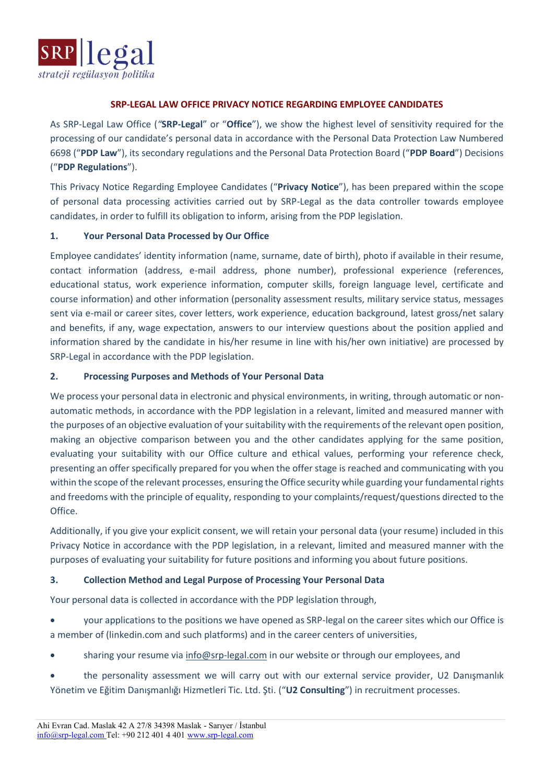

#### **SRP-LEGAL LAW OFFICE PRIVACY NOTICE REGARDING EMPLOYEE CANDIDATES**

As SRP-Legal Law Office (*"***SRP-Legal**" or "**Office**"), we show the highest level of sensitivity required for the processing of our candidate's personal data in accordance with the Personal Data Protection Law Numbered 6698 ("**PDP Law**"), its secondary regulations and the Personal Data Protection Board ("**PDP Board**") Decisions ("**PDP Regulations**").

This Privacy Notice Regarding Employee Candidates ("**Privacy Notice**"), has been prepared within the scope of personal data processing activities carried out by SRP-Legal as the data controller towards employee candidates, in order to fulfill its obligation to inform, arising from the PDP legislation.

### **1. Your Personal Data Processed by Our Office**

Employee candidates' identity information (name, surname, date of birth), photo if available in their resume, contact information (address, e-mail address, phone number), professional experience (references, educational status, work experience information, computer skills, foreign language level, certificate and course information) and other information (personality assessment results, military service status, messages sent via e-mail or career sites, cover letters, work experience, education background, latest gross/net salary and benefits, if any, wage expectation, answers to our interview questions about the position applied and information shared by the candidate in his/her resume in line with his/her own initiative) are processed by SRP-Legal in accordance with the PDP legislation.

### **2. Processing Purposes and Methods of Your Personal Data**

We process your personal data in electronic and physical environments, in writing, through automatic or nonautomatic methods, in accordance with the PDP legislation in a relevant, limited and measured manner with the purposes of an objective evaluation of your suitability with the requirements of the relevant open position, making an objective comparison between you and the other candidates applying for the same position, evaluating your suitability with our Office culture and ethical values, performing your reference check, presenting an offer specifically prepared for you when the offer stage is reached and communicating with you within the scope of the relevant processes, ensuring the Office security while guarding your fundamental rights and freedoms with the principle of equality, responding to your complaints/request/questions directed to the Office.

Additionally, if you give your explicit consent, we will retain your personal data (your resume) included in this Privacy Notice in accordance with the PDP legislation, in a relevant, limited and measured manner with the purposes of evaluating your suitability for future positions and informing you about future positions.

# **3. Collection Method and Legal Purpose of Processing Your Personal Data**

Your personal data is collected in accordance with the PDP legislation through,

- your applications to the positions we have opened as SRP-legal on the career sites which our Office is a member of (linkedin.com and such platforms) and in the career centers of universities,
- sharing your resume vi[a info@srp-legal.com](mailto:info@srp-legal.com) in our website or through our employees, and
- the personality assessment we will carry out with our external service provider, U2 Danışmanlık Yönetim ve Eğitim Danışmanlığı Hizmetleri Tic. Ltd. Şti. ("**U2 Consulting**") in recruitment processes.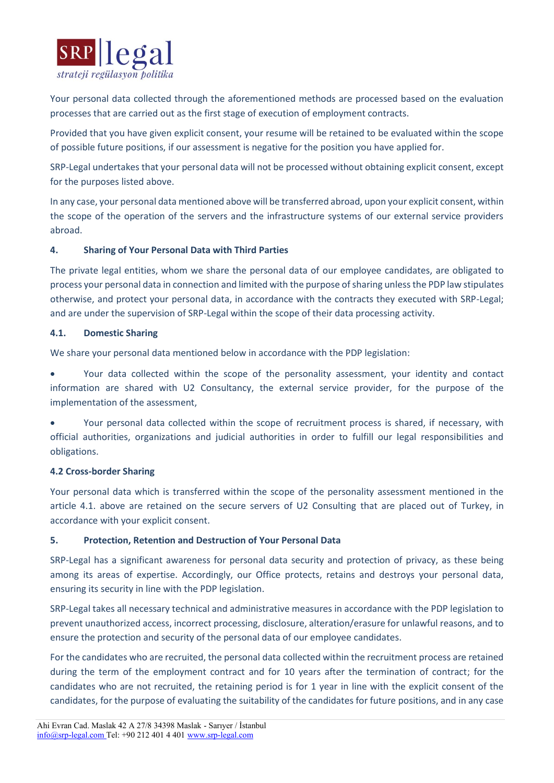

Your personal data collected through the aforementioned methods are processed based on the evaluation processes that are carried out as the first stage of execution of employment contracts.

Provided that you have given explicit consent, your resume will be retained to be evaluated within the scope of possible future positions, if our assessment is negative for the position you have applied for.

SRP-Legal undertakes that your personal data will not be processed without obtaining explicit consent, except for the purposes listed above.

In any case, your personal data mentioned above will be transferred abroad, upon your explicit consent, within the scope of the operation of the servers and the infrastructure systems of our external service providers abroad.

# **4. Sharing of Your Personal Data with Third Parties**

The private legal entities, whom we share the personal data of our employee candidates, are obligated to process your personal data in connection and limited with the purpose of sharing unless the PDP law stipulates otherwise, and protect your personal data, in accordance with the contracts they executed with SRP-Legal; and are under the supervision of SRP-Legal within the scope of their data processing activity.

### **4.1. Domestic Sharing**

We share your personal data mentioned below in accordance with the PDP legislation:

• Your data collected within the scope of the personality assessment, your identity and contact information are shared with U2 Consultancy, the external service provider, for the purpose of the implementation of the assessment,

• Your personal data collected within the scope of recruitment process is shared, if necessary, with official authorities, organizations and judicial authorities in order to fulfill our legal responsibilities and obligations.

#### **4.2 Cross-border Sharing**

Your personal data which is transferred within the scope of the personality assessment mentioned in the article 4.1. above are retained on the secure servers of U2 Consulting that are placed out of Turkey, in accordance with your explicit consent.

#### **5. Protection, Retention and Destruction of Your Personal Data**

SRP-Legal has a significant awareness for personal data security and protection of privacy, as these being among its areas of expertise. Accordingly, our Office protects, retains and destroys your personal data, ensuring its security in line with the PDP legislation.

SRP-Legal takes all necessary technical and administrative measures in accordance with the PDP legislation to prevent unauthorized access, incorrect processing, disclosure, alteration/erasure for unlawful reasons, and to ensure the protection and security of the personal data of our employee candidates.

For the candidates who are recruited, the personal data collected within the recruitment process are retained during the term of the employment contract and for 10 years after the termination of contract; for the candidates who are not recruited, the retaining period is for 1 year in line with the explicit consent of the candidates, for the purpose of evaluating the suitability of the candidates for future positions, and in any case